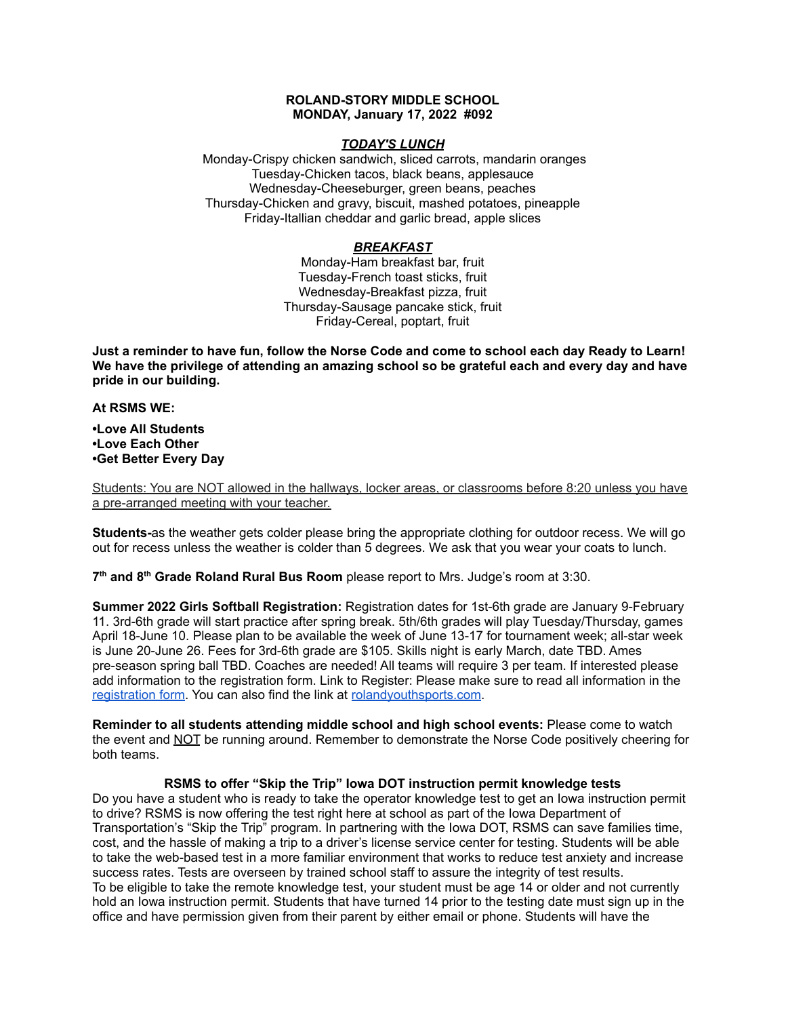## **ROLAND-STORY MIDDLE SCHOOL MONDAY, January 17, 2022 #092**

#### *TODAY'S LUNCH*

Monday-Crispy chicken sandwich, sliced carrots, mandarin oranges Tuesday-Chicken tacos, black beans, applesauce Wednesday-Cheeseburger, green beans, peaches Thursday-Chicken and gravy, biscuit, mashed potatoes, pineapple Friday-Itallian cheddar and garlic bread, apple slices

# *BREAKFAST*

Monday-Ham breakfast bar, fruit Tuesday-French toast sticks, fruit Wednesday-Breakfast pizza, fruit Thursday-Sausage pancake stick, fruit Friday-Cereal, poptart, fruit

Just a reminder to have fun, follow the Norse Code and come to school each day Ready to Learn! **We have the privilege of attending an amazing school so be grateful each and every day and have pride in our building.**

#### **At RSMS WE:**

**•Love All Students •Love Each Other •Get Better Every Day**

Students: You are NOT allowed in the hallways, locker areas, or classrooms before 8:20 unless you have a pre-arranged meeting with your teacher.

**Students-**as the weather gets colder please bring the appropriate clothing for outdoor recess. We will go out for recess unless the weather is colder than 5 degrees. We ask that you wear your coats to lunch.

**7 th and 8 th Grade Roland Rural Bus Room** please report to Mrs. Judge's room at 3:30.

**Summer 2022 Girls Softball Registration:** Registration dates for 1st-6th grade are January 9-February 11. 3rd-6th grade will start practice after spring break. 5th/6th grades will play Tuesday/Thursday, games April 18-June 10. Please plan to be available the week of June 13-17 for tournament week; all-star week is June 20-June 26. Fees for 3rd-6th grade are \$105. Skills night is early March, date TBD. Ames pre-season spring ball TBD. Coaches are needed! All teams will require 3 per team. If interested please add information to the registration form. Link to Register: Please make sure to read all information in th[e](https://rolandyouthsports.com/summer-2022-softball-registration-form/) [registration](https://rolandyouthsports.com/summer-2022-softball-registration-form/) form. You can also find the link at [rolandyouthsports.com](http://rolandyouthsports.com/).

**Reminder to all students attending middle school and high school events:** Please come to watch the event and NOT be running around. Remember to demonstrate the Norse Code positively cheering for both teams.

### **RSMS to offer "Skip the Trip" Iowa DOT instruction permit knowledge tests**

Do you have a student who is ready to take the operator knowledge test to get an Iowa instruction permit to drive? RSMS is now offering the test right here at school as part of the Iowa Department of Transportation's "Skip the Trip" program. In partnering with the Iowa DOT, RSMS can save families time, cost, and the hassle of making a trip to a driver's license service center for testing. Students will be able to take the web-based test in a more familiar environment that works to reduce test anxiety and increase success rates. Tests are overseen by trained school staff to assure the integrity of test results. To be eligible to take the remote knowledge test, your student must be age 14 or older and not currently hold an Iowa instruction permit. Students that have turned 14 prior to the testing date must sign up in the office and have permission given from their parent by either email or phone. Students will have the